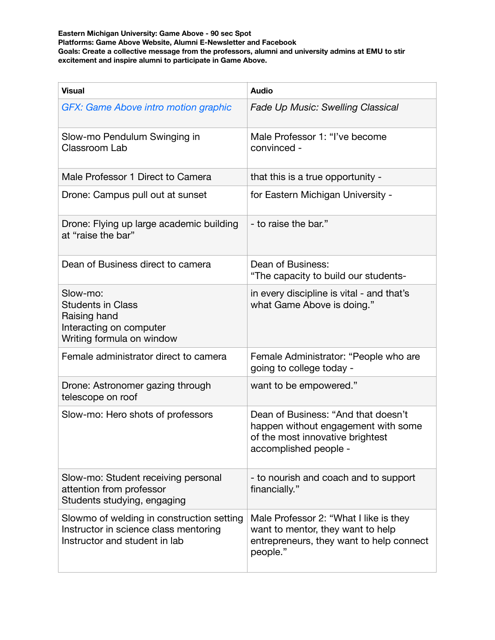**Eastern Michigan University: Game Above - 90 sec Spot Platforms: Game Above Website, Alumni E-Newsletter and Facebook Goals: Create a collective message from the professors, alumni and university admins at EMU to stir excitement and inspire alumni to participate in Game Above.** 

| <b>Visual</b>                                                                                                       | <b>Audio</b>                                                                                                                            |
|---------------------------------------------------------------------------------------------------------------------|-----------------------------------------------------------------------------------------------------------------------------------------|
| GFX: Game Above intro motion graphic                                                                                | <b>Fade Up Music: Swelling Classical</b>                                                                                                |
| Slow-mo Pendulum Swinging in<br>Classroom Lab                                                                       | Male Professor 1: "I've become<br>convinced -                                                                                           |
| Male Professor 1 Direct to Camera                                                                                   | that this is a true opportunity -                                                                                                       |
| Drone: Campus pull out at sunset                                                                                    | for Eastern Michigan University -                                                                                                       |
| Drone: Flying up large academic building<br>at "raise the bar"                                                      | - to raise the bar."                                                                                                                    |
| Dean of Business direct to camera                                                                                   | Dean of Business:<br>"The capacity to build our students-                                                                               |
| Slow-mo:<br><b>Students in Class</b><br>Raising hand<br>Interacting on computer<br>Writing formula on window        | in every discipline is vital - and that's<br>what Game Above is doing."                                                                 |
| Female administrator direct to camera                                                                               | Female Administrator: "People who are<br>going to college today -                                                                       |
| Drone: Astronomer gazing through<br>telescope on roof                                                               | want to be empowered."                                                                                                                  |
| Slow-mo: Hero shots of professors                                                                                   | Dean of Business: "And that doesn't<br>happen without engagement with some<br>of the most innovative brightest<br>accomplished people - |
| Slow-mo: Student receiving personal<br>attention from professor<br>Students studying, engaging                      | - to nourish and coach and to support<br>financially."                                                                                  |
| Slowmo of welding in construction setting<br>Instructor in science class mentoring<br>Instructor and student in lab | Male Professor 2: "What I like is they<br>want to mentor, they want to help<br>entrepreneurs, they want to help connect<br>people."     |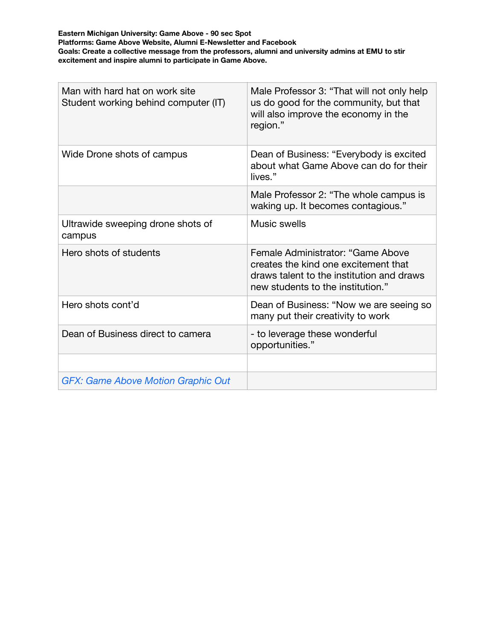**Eastern Michigan University: Game Above - 90 sec Spot Platforms: Game Above Website, Alumni E-Newsletter and Facebook Goals: Create a collective message from the professors, alumni and university admins at EMU to stir excitement and inspire alumni to participate in Game Above.** 

| Man with hard hat on work site<br>Student working behind computer (IT) | Male Professor 3: "That will not only help<br>us do good for the community, but that<br>will also improve the economy in the<br>region."                    |
|------------------------------------------------------------------------|-------------------------------------------------------------------------------------------------------------------------------------------------------------|
| Wide Drone shots of campus                                             | Dean of Business: "Everybody is excited<br>about what Game Above can do for their<br>lives."                                                                |
|                                                                        | Male Professor 2: "The whole campus is<br>waking up. It becomes contagious."                                                                                |
| Ultrawide sweeping drone shots of<br>campus                            | Music swells                                                                                                                                                |
| Hero shots of students                                                 | Female Administrator: "Game Above<br>creates the kind one excitement that<br>draws talent to the institution and draws<br>new students to the institution." |
| Hero shots cont'd                                                      | Dean of Business: "Now we are seeing so<br>many put their creativity to work                                                                                |
| Dean of Business direct to camera                                      | - to leverage these wonderful<br>opportunities."                                                                                                            |
|                                                                        |                                                                                                                                                             |
| <b>GFX: Game Above Motion Graphic Out</b>                              |                                                                                                                                                             |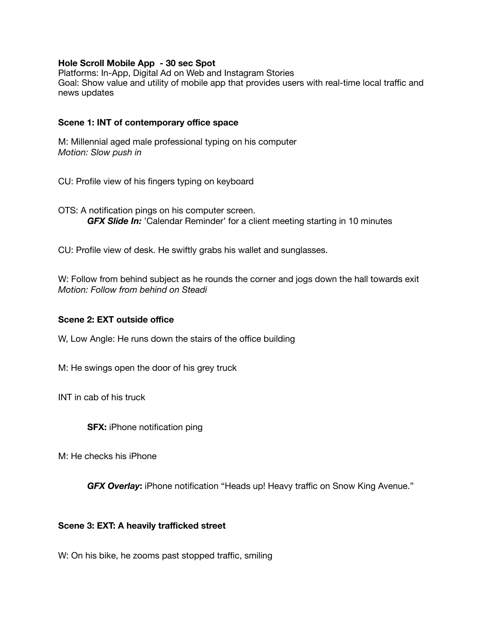## **Hole Scroll Mobile App - 30 sec Spot**

Platforms: In-App, Digital Ad on Web and Instagram Stories Goal: Show value and utility of mobile app that provides users with real-time local traffic and news updates

## **Scene 1: INT of contemporary office space**

M: Millennial aged male professional typing on his computer *Motion: Slow push in* 

CU: Profile view of his fingers typing on keyboard

OTS: A notification pings on his computer screen. *GFX Slide In:* 'Calendar Reminder' for a client meeting starting in 10 minutes

CU: Profile view of desk. He swiftly grabs his wallet and sunglasses.

W: Follow from behind subject as he rounds the corner and jogs down the hall towards exit *Motion: Follow from behind on Steadi* 

## **Scene 2: EXT outside office**

W, Low Angle: He runs down the stairs of the office building

M: He swings open the door of his grey truck

INT in cab of his truck

**SFX:** iPhone notification ping

M: He checks his iPhone

*GFX Overlay***:** iPhone notification "Heads up! Heavy traffic on Snow King Avenue."

## **Scene 3: EXT: A heavily trafficked street**

W: On his bike, he zooms past stopped traffic, smiling